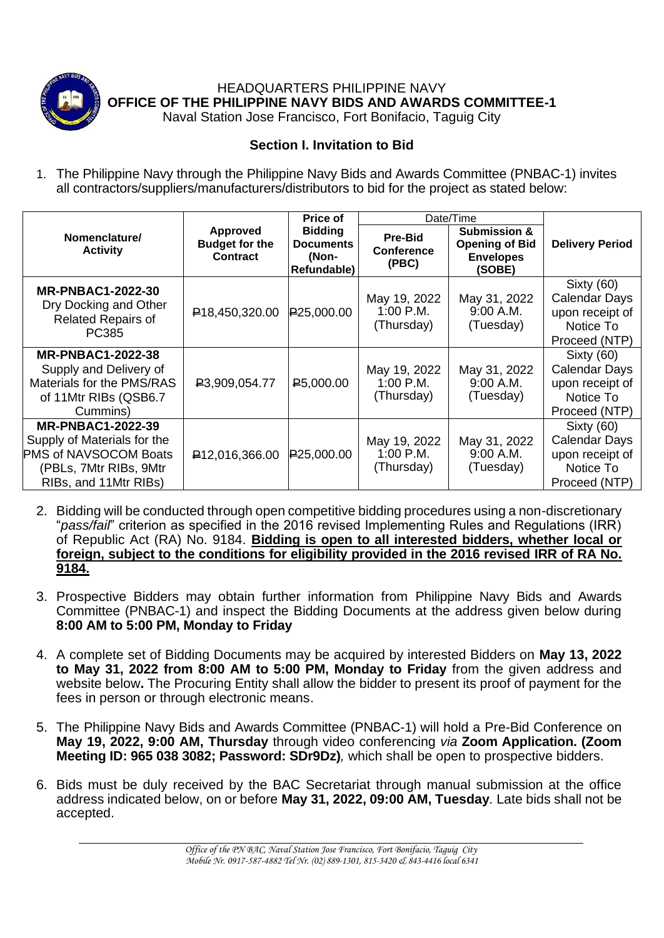

HEADQUARTERS PHILIPPINE NAVY **OFFICE OF THE PHILIPPINE NAVY BIDS AND AWARDS COMMITTEE-1**

Naval Station Jose Francisco, Fort Bonifacio, Taguig City

## **Section I. Invitation to Bid**

1. The Philippine Navy through the Philippine Navy Bids and Awards Committee (PNBAC-1) invites all contractors/suppliers/manufacturers/distributors to bid for the project as stated below:

|                                                                                                                                     |                                                             | Price of                                                   | Date/Time                                    |                                                                                |                                                                                            |
|-------------------------------------------------------------------------------------------------------------------------------------|-------------------------------------------------------------|------------------------------------------------------------|----------------------------------------------|--------------------------------------------------------------------------------|--------------------------------------------------------------------------------------------|
| Nomenclature/<br><b>Activity</b>                                                                                                    | <b>Approved</b><br><b>Budget for the</b><br><b>Contract</b> | <b>Bidding</b><br><b>Documents</b><br>(Non-<br>Refundable) | <b>Pre-Bid</b><br><b>Conference</b><br>(PBC) | <b>Submission &amp;</b><br><b>Opening of Bid</b><br><b>Envelopes</b><br>(SOBE) | <b>Delivery Period</b>                                                                     |
| <b>MR-PNBAC1-2022-30</b><br>Dry Docking and Other<br><b>Related Repairs of</b><br>PC385                                             | <b>₽18,450,320.00</b>                                       | P25,000.00                                                 | May 19, 2022<br>1:00 P.M.<br>(Thursday)      | May 31, 2022<br>9:00 A.M.<br>(Tuesday)                                         | <b>Sixty (60)</b><br><b>Calendar Days</b><br>upon receipt of<br>Notice To<br>Proceed (NTP) |
| <b>MR-PNBAC1-2022-38</b><br>Supply and Delivery of<br>Materials for the PMS/RAS<br>of 11Mtr RIBs (QSB6.7<br>Cummins)                | P3,909,054.77                                               | P <sub>5</sub> ,000.00                                     | May 19, 2022<br>$1:00$ P.M.<br>(Thursday)    | May 31, 2022<br>9:00 A.M.<br>(Tuesday)                                         | Sixty (60)<br><b>Calendar Days</b><br>upon receipt of<br>Notice To<br>Proceed (NTP)        |
| <b>MR-PNBAC1-2022-39</b><br>Supply of Materials for the<br>PMS of NAVSOCOM Boats<br>(PBLs, 7Mtr RIBs, 9Mtr<br>RIBs, and 11Mtr RIBs) | P <sub>12</sub> ,016,366.00                                 | P25,000.00                                                 | May 19, 2022<br>1:00 P.M.<br>(Thursday)      | May 31, 2022<br>9:00 A.M.<br>(Tuesday)                                         | Sixty (60)<br>Calendar Days<br>upon receipt of<br>Notice To<br>Proceed (NTP)               |

- 2. Bidding will be conducted through open competitive bidding procedures using a non-discretionary "*pass/fail*" criterion as specified in the 2016 revised Implementing Rules and Regulations (IRR) of Republic Act (RA) No. 9184. **Bidding is open to all interested bidders, whether local or foreign, subject to the conditions for eligibility provided in the 2016 revised IRR of RA No. 9184.**
- 3. Prospective Bidders may obtain further information from Philippine Navy Bids and Awards Committee (PNBAC-1) and inspect the Bidding Documents at the address given below during **8:00 AM to 5:00 PM, Monday to Friday**
- 4. A complete set of Bidding Documents may be acquired by interested Bidders on **May 13, 2022 to May 31, 2022 from 8:00 AM to 5:00 PM, Monday to Friday** from the given address and website below**.** The Procuring Entity shall allow the bidder to present its proof of payment for the fees in person or through electronic means.
- 5. The Philippine Navy Bids and Awards Committee (PNBAC-1) will hold a Pre-Bid Conference on **May 19, 2022, 9:00 AM, Thursday** through video conferencing *via* **Zoom Application. (Zoom Meeting ID: 965 038 3082; Password: SDr9Dz)***,* which shall be open to prospective bidders.
- 6. Bids must be duly received by the BAC Secretariat through manual submission at the office address indicated below, on or before **May 31, 2022, 09:00 AM, Tuesday***.* Late bids shall not be accepted.